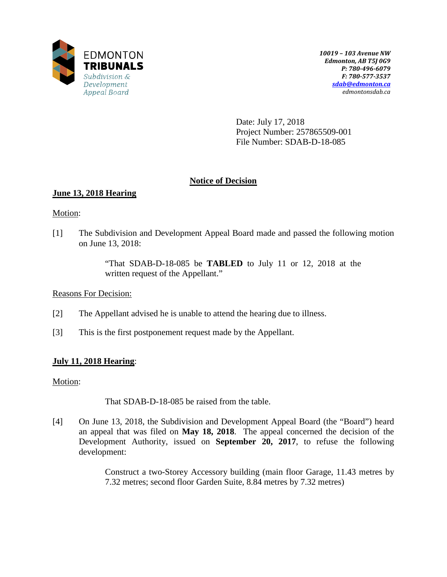

Date: July 17, 2018 Project Number: 257865509-001 File Number: SDAB-D-18-085

# **Notice of Decision**

# **June 13, 2018 Hearing**

Motion:

[1] The Subdivision and Development Appeal Board made and passed the following motion on June 13, 2018:

> "That SDAB-D-18-085 be **TABLED** to July 11 or 12, 2018 at the written request of the Appellant."

Reasons For Decision:

- [2] The Appellant advised he is unable to attend the hearing due to illness.
- [3] This is the first postponement request made by the Appellant.

## **July 11, 2018 Hearing**:

Motion:

That SDAB-D-18-085 be raised from the table.

[4] On June 13, 2018, the Subdivision and Development Appeal Board (the "Board") heard an appeal that was filed on **May 18, 2018**. The appeal concerned the decision of the Development Authority, issued on **September 20, 2017**, to refuse the following development:

> Construct a two-Storey Accessory building (main floor Garage, 11.43 metres by 7.32 metres; second floor Garden Suite, 8.84 metres by 7.32 metres)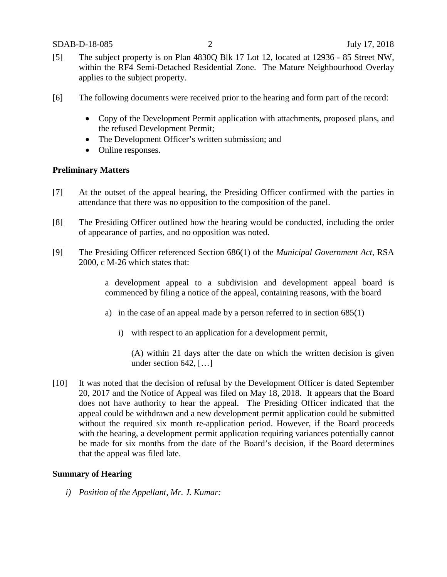- [5] The subject property is on Plan 4830Q Blk 17 Lot 12, located at 12936 85 Street NW, within the RF4 Semi-Detached Residential Zone. The Mature Neighbourhood Overlay applies to the subject property.
- [6] The following documents were received prior to the hearing and form part of the record:
	- Copy of the Development Permit application with attachments, proposed plans, and the refused Development Permit;
	- The Development Officer's written submission; and
	- Online responses.

### **Preliminary Matters**

- [7] At the outset of the appeal hearing, the Presiding Officer confirmed with the parties in attendance that there was no opposition to the composition of the panel.
- [8] The Presiding Officer outlined how the hearing would be conducted, including the order of appearance of parties, and no opposition was noted.
- [9] The Presiding Officer referenced Section 686(1) of the *Municipal Government Act*, RSA 2000, c M-26 which states that:

a development appeal to a subdivision and development appeal board is commenced by filing a notice of the appeal, containing reasons, with the board

- a) in the case of an appeal made by a person referred to in section 685(1)
	- i) with respect to an application for a development permit,

(A) within 21 days after the date on which the written decision is given under section 642, […]

[10] It was noted that the decision of refusal by the Development Officer is dated September 20, 2017 and the Notice of Appeal was filed on May 18, 2018. It appears that the Board does not have authority to hear the appeal. The Presiding Officer indicated that the appeal could be withdrawn and a new development permit application could be submitted without the required six month re-application period. However, if the Board proceeds with the hearing, a development permit application requiring variances potentially cannot be made for six months from the date of the Board's decision, if the Board determines that the appeal was filed late.

#### **Summary of Hearing**

*i) Position of the Appellant, Mr. J. Kumar:*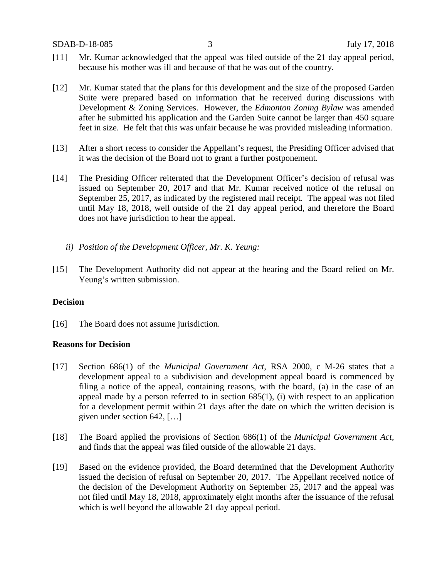- [11] Mr. Kumar acknowledged that the appeal was filed outside of the 21 day appeal period, because his mother was ill and because of that he was out of the country.
- [12] Mr. Kumar stated that the plans for this development and the size of the proposed Garden Suite were prepared based on information that he received during discussions with Development & Zoning Services. However, the *Edmonton Zoning Bylaw* was amended after he submitted his application and the Garden Suite cannot be larger than 450 square feet in size. He felt that this was unfair because he was provided misleading information.
- [13] After a short recess to consider the Appellant's request, the Presiding Officer advised that it was the decision of the Board not to grant a further postponement.
- [14] The Presiding Officer reiterated that the Development Officer's decision of refusal was issued on September 20, 2017 and that Mr. Kumar received notice of the refusal on September 25, 2017, as indicated by the registered mail receipt. The appeal was not filed until May 18, 2018, well outside of the 21 day appeal period, and therefore the Board does not have jurisdiction to hear the appeal.
	- *ii) Position of the Development Officer, Mr. K. Yeung:*
- [15] The Development Authority did not appear at the hearing and the Board relied on Mr. Yeung's written submission.

#### **Decision**

[16] The Board does not assume jurisdiction.

#### **Reasons for Decision**

- [17] Section 686(1) of the *Municipal Government Act*, RSA 2000, c M-26 states that a development appeal to a subdivision and development appeal board is commenced by filing a notice of the appeal, containing reasons, with the board, (a) in the case of an appeal made by a person referred to in section 685(1), (i) with respect to an application for a development permit within 21 days after the date on which the written decision is given under section 642, […]
- [18] The Board applied the provisions of Section 686(1) of the *Municipal Government Act*, and finds that the appeal was filed outside of the allowable 21 days.
- [19] Based on the evidence provided, the Board determined that the Development Authority issued the decision of refusal on September 20, 2017. The Appellant received notice of the decision of the Development Authority on September 25, 2017 and the appeal was not filed until May 18, 2018, approximately eight months after the issuance of the refusal which is well beyond the allowable 21 day appeal period.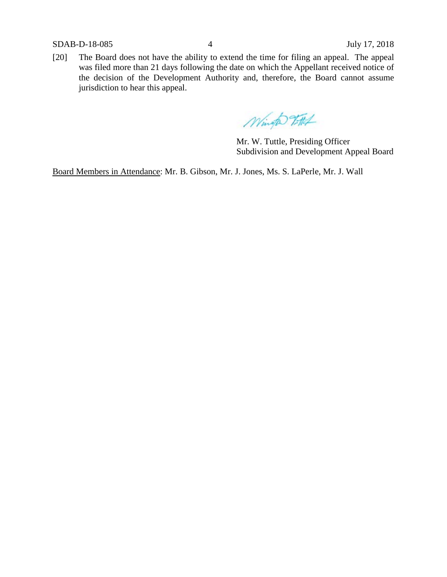SDAB-D-18-085 4 July 17, 2018

[20] The Board does not have the ability to extend the time for filing an appeal. The appeal was filed more than 21 days following the date on which the Appellant received notice of the decision of the Development Authority and, therefore, the Board cannot assume jurisdiction to hear this appeal.

Windo Fitt

Mr. W. Tuttle, Presiding Officer Subdivision and Development Appeal Board

Board Members in Attendance: Mr. B. Gibson, Mr. J. Jones, Ms. S. LaPerle, Mr. J. Wall